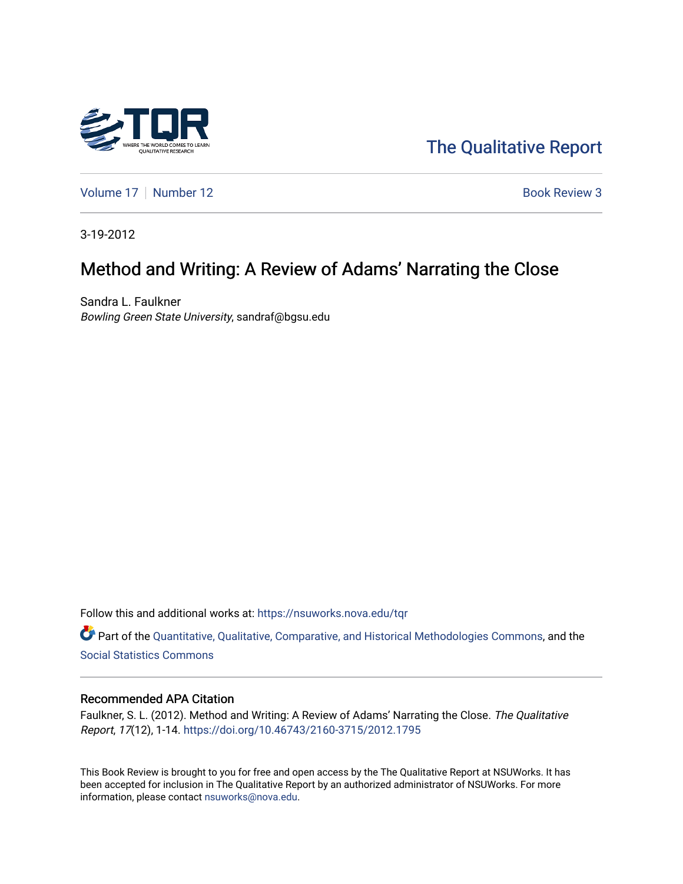

[The Qualitative Report](https://nsuworks.nova.edu/tqr) 

[Volume 17](https://nsuworks.nova.edu/tqr/vol17) | [Number 12](https://nsuworks.nova.edu/tqr/vol17/iss12) **Book Review 3** 

3-19-2012

# Method and Writing: A Review of Adams' Narrating the Close

Sandra L. Faulkner Bowling Green State University, sandraf@bgsu.edu

Follow this and additional works at: [https://nsuworks.nova.edu/tqr](https://nsuworks.nova.edu/tqr?utm_source=nsuworks.nova.edu%2Ftqr%2Fvol17%2Fiss12%2F3&utm_medium=PDF&utm_campaign=PDFCoverPages) 

Part of the [Quantitative, Qualitative, Comparative, and Historical Methodologies Commons,](http://network.bepress.com/hgg/discipline/423?utm_source=nsuworks.nova.edu%2Ftqr%2Fvol17%2Fiss12%2F3&utm_medium=PDF&utm_campaign=PDFCoverPages) and the [Social Statistics Commons](http://network.bepress.com/hgg/discipline/1275?utm_source=nsuworks.nova.edu%2Ftqr%2Fvol17%2Fiss12%2F3&utm_medium=PDF&utm_campaign=PDFCoverPages) 

### Recommended APA Citation

Faulkner, S. L. (2012). Method and Writing: A Review of Adams' Narrating the Close. The Qualitative Report, 17(12), 1-14. <https://doi.org/10.46743/2160-3715/2012.1795>

This Book Review is brought to you for free and open access by the The Qualitative Report at NSUWorks. It has been accepted for inclusion in The Qualitative Report by an authorized administrator of NSUWorks. For more information, please contact [nsuworks@nova.edu.](mailto:nsuworks@nova.edu)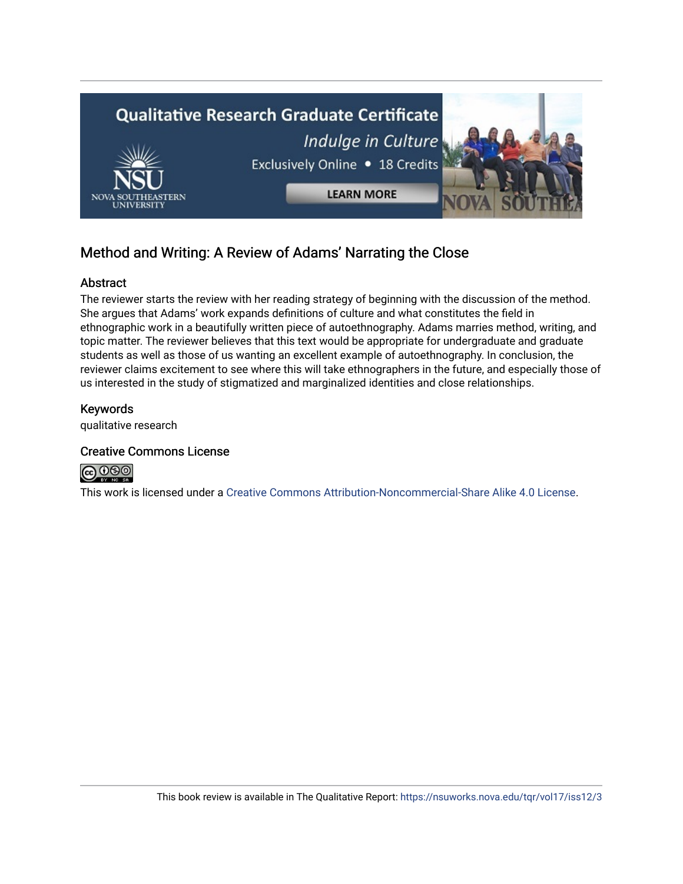

## Method and Writing: A Review of Adams' Narrating the Close

## Abstract

The reviewer starts the review with her reading strategy of beginning with the discussion of the method. She argues that Adams' work expands definitions of culture and what constitutes the field in ethnographic work in a beautifully written piece of autoethnography. Adams marries method, writing, and topic matter. The reviewer believes that this text would be appropriate for undergraduate and graduate students as well as those of us wanting an excellent example of autoethnography. In conclusion, the reviewer claims excitement to see where this will take ethnographers in the future, and especially those of us interested in the study of stigmatized and marginalized identities and close relationships.

## Keywords

qualitative research

## Creative Commons License



This work is licensed under a [Creative Commons Attribution-Noncommercial-Share Alike 4.0 License](https://creativecommons.org/licenses/by-nc-sa/4.0/).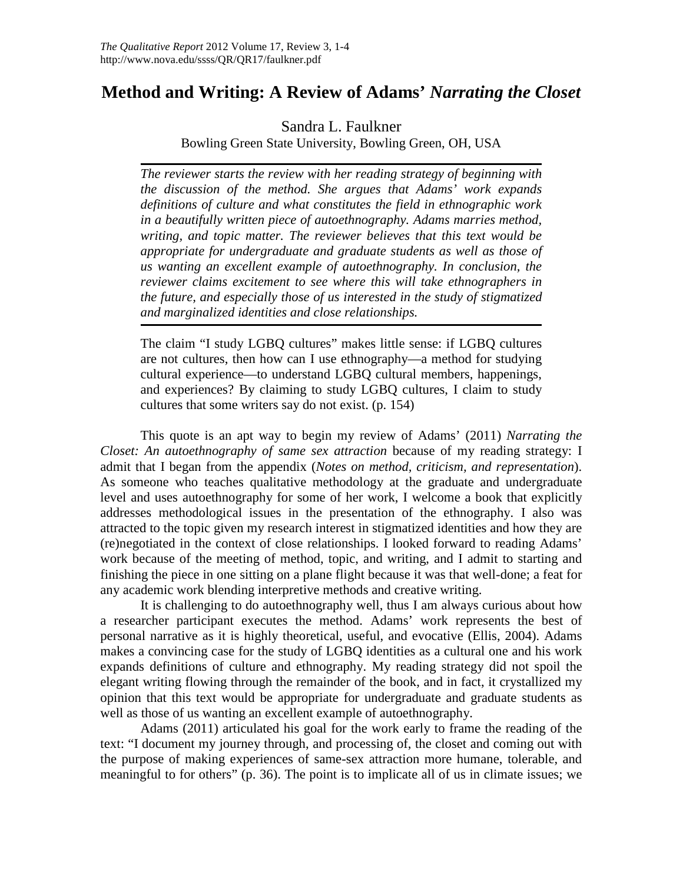## **Method and Writing: A Review of Adams'** *Narrating the Closet*

Sandra L. Faulkner

Bowling Green State University, Bowling Green, OH, USA

*The reviewer starts the review with her reading strategy of beginning with the discussion of the method. She argues that Adams' work expands definitions of culture and what constitutes the field in ethnographic work in a beautifully written piece of autoethnography. Adams marries method, writing, and topic matter. The reviewer believes that this text would be appropriate for undergraduate and graduate students as well as those of us wanting an excellent example of autoethnography. In conclusion, the reviewer claims excitement to see where this will take ethnographers in the future, and especially those of us interested in the study of stigmatized and marginalized identities and close relationships.*

The claim "I study LGBQ cultures" makes little sense: if LGBQ cultures are not cultures, then how can I use ethnography—a method for studying cultural experience—to understand LGBQ cultural members, happenings, and experiences? By claiming to study LGBQ cultures, I claim to study cultures that some writers say do not exist. (p. 154)

This quote is an apt way to begin my review of Adams' (2011) *Narrating the Closet: An autoethnography of same sex attraction* because of my reading strategy: I admit that I began from the appendix (*Notes on method, criticism, and representation*). As someone who teaches qualitative methodology at the graduate and undergraduate level and uses autoethnography for some of her work, I welcome a book that explicitly addresses methodological issues in the presentation of the ethnography. I also was attracted to the topic given my research interest in stigmatized identities and how they are (re)negotiated in the context of close relationships. I looked forward to reading Adams' work because of the meeting of method, topic, and writing, and I admit to starting and finishing the piece in one sitting on a plane flight because it was that well-done; a feat for any academic work blending interpretive methods and creative writing.

It is challenging to do autoethnography well, thus I am always curious about how a researcher participant executes the method. Adams' work represents the best of personal narrative as it is highly theoretical, useful, and evocative (Ellis, 2004). Adams makes a convincing case for the study of LGBQ identities as a cultural one and his work expands definitions of culture and ethnography. My reading strategy did not spoil the elegant writing flowing through the remainder of the book, and in fact, it crystallized my opinion that this text would be appropriate for undergraduate and graduate students as well as those of us wanting an excellent example of autoethnography.

Adams (2011) articulated his goal for the work early to frame the reading of the text: "I document my journey through, and processing of, the closet and coming out with the purpose of making experiences of same-sex attraction more humane, tolerable, and meaningful to for others" (p. 36). The point is to implicate all of us in climate issues; we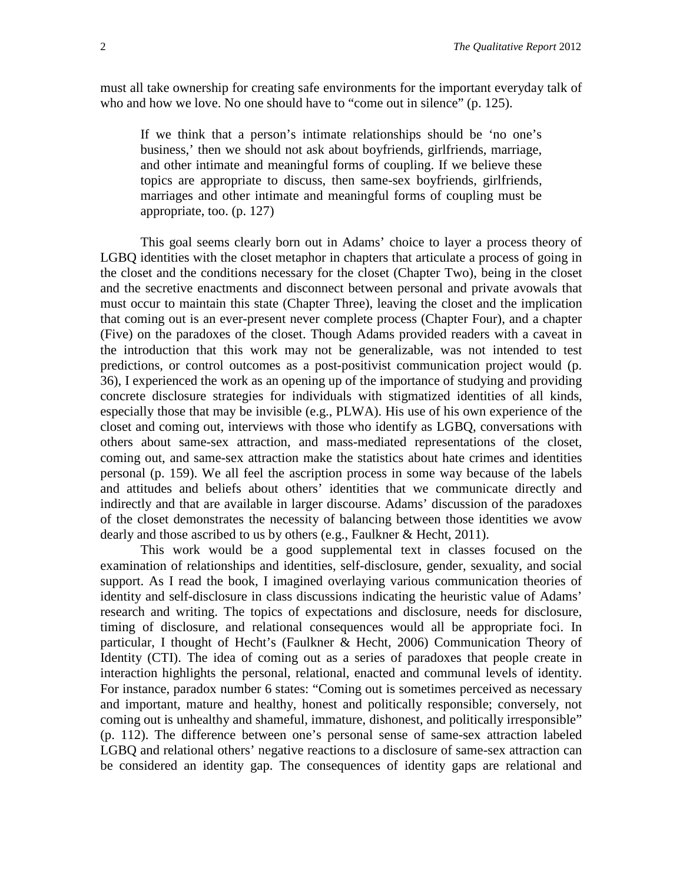must all take ownership for creating safe environments for the important everyday talk of who and how we love. No one should have to "come out in silence" (p. 125).

If we think that a person's intimate relationships should be 'no one's business,' then we should not ask about boyfriends, girlfriends, marriage, and other intimate and meaningful forms of coupling. If we believe these topics are appropriate to discuss, then same-sex boyfriends, girlfriends, marriages and other intimate and meaningful forms of coupling must be appropriate, too. (p. 127)

This goal seems clearly born out in Adams' choice to layer a process theory of LGBQ identities with the closet metaphor in chapters that articulate a process of going in the closet and the conditions necessary for the closet (Chapter Two), being in the closet and the secretive enactments and disconnect between personal and private avowals that must occur to maintain this state (Chapter Three), leaving the closet and the implication that coming out is an ever-present never complete process (Chapter Four), and a chapter (Five) on the paradoxes of the closet. Though Adams provided readers with a caveat in the introduction that this work may not be generalizable, was not intended to test predictions, or control outcomes as a post-positivist communication project would (p. 36), I experienced the work as an opening up of the importance of studying and providing concrete disclosure strategies for individuals with stigmatized identities of all kinds, especially those that may be invisible (e.g., PLWA). His use of his own experience of the closet and coming out, interviews with those who identify as LGBQ, conversations with others about same-sex attraction, and mass-mediated representations of the closet, coming out, and same-sex attraction make the statistics about hate crimes and identities personal (p. 159). We all feel the ascription process in some way because of the labels and attitudes and beliefs about others' identities that we communicate directly and indirectly and that are available in larger discourse. Adams' discussion of the paradoxes of the closet demonstrates the necessity of balancing between those identities we avow dearly and those ascribed to us by others (e.g., Faulkner & Hecht, 2011).

This work would be a good supplemental text in classes focused on the examination of relationships and identities, self-disclosure, gender, sexuality, and social support. As I read the book, I imagined overlaying various communication theories of identity and self-disclosure in class discussions indicating the heuristic value of Adams' research and writing. The topics of expectations and disclosure, needs for disclosure, timing of disclosure, and relational consequences would all be appropriate foci. In particular, I thought of Hecht's (Faulkner & Hecht, 2006) Communication Theory of Identity (CTI). The idea of coming out as a series of paradoxes that people create in interaction highlights the personal, relational, enacted and communal levels of identity. For instance, paradox number 6 states: "Coming out is sometimes perceived as necessary and important, mature and healthy, honest and politically responsible; conversely, not coming out is unhealthy and shameful, immature, dishonest, and politically irresponsible" (p. 112). The difference between one's personal sense of same-sex attraction labeled LGBQ and relational others' negative reactions to a disclosure of same-sex attraction can be considered an identity gap. The consequences of identity gaps are relational and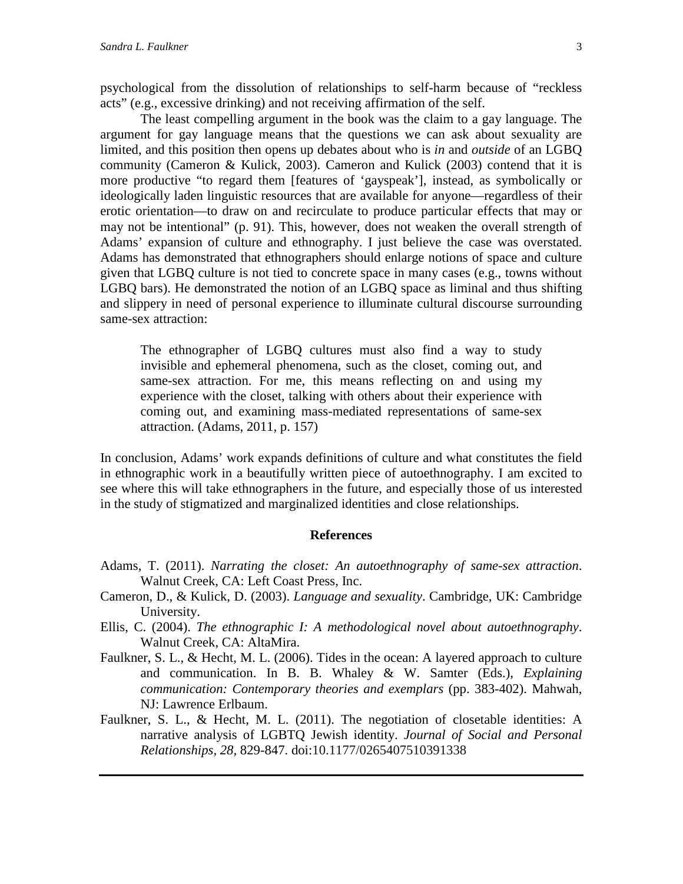psychological from the dissolution of relationships to self-harm because of "reckless acts" (e.g., excessive drinking) and not receiving affirmation of the self.

The least compelling argument in the book was the claim to a gay language. The argument for gay language means that the questions we can ask about sexuality are limited, and this position then opens up debates about who is *in* and *outside* of an LGBQ community (Cameron & Kulick, 2003). Cameron and Kulick (2003) contend that it is more productive "to regard them [features of 'gayspeak'], instead, as symbolically or ideologically laden linguistic resources that are available for anyone—regardless of their erotic orientation—to draw on and recirculate to produce particular effects that may or may not be intentional" (p. 91). This, however, does not weaken the overall strength of Adams' expansion of culture and ethnography. I just believe the case was overstated. Adams has demonstrated that ethnographers should enlarge notions of space and culture given that LGBQ culture is not tied to concrete space in many cases (e.g., towns without LGBQ bars). He demonstrated the notion of an LGBQ space as liminal and thus shifting and slippery in need of personal experience to illuminate cultural discourse surrounding same-sex attraction:

The ethnographer of LGBQ cultures must also find a way to study invisible and ephemeral phenomena, such as the closet, coming out, and same-sex attraction. For me, this means reflecting on and using my experience with the closet, talking with others about their experience with coming out, and examining mass-mediated representations of same-sex attraction. (Adams, 2011, p. 157)

In conclusion, Adams' work expands definitions of culture and what constitutes the field in ethnographic work in a beautifully written piece of autoethnography. I am excited to see where this will take ethnographers in the future, and especially those of us interested in the study of stigmatized and marginalized identities and close relationships.

#### **References**

- Adams, T. (2011). *Narrating the closet: An autoethnography of same-sex attraction*. Walnut Creek, CA: Left Coast Press, Inc.
- Cameron, D., & Kulick, D. (2003). *Language and sexuality*. Cambridge, UK: Cambridge University.
- Ellis, C. (2004). *The ethnographic I: A methodological novel about autoethnography*. Walnut Creek, CA: AltaMira.
- Faulkner, S. L., & Hecht, M. L. (2006). Tides in the ocean: A layered approach to culture and communication. In B. B. Whaley & W. Samter (Eds.), *Explaining communication: Contemporary theories and exemplars* (pp. 383-402). Mahwah, NJ: Lawrence Erlbaum.
- Faulkner, S. L., & Hecht, M. L. (2011). The negotiation of closetable identities: A narrative analysis of LGBTQ Jewish identity. *Journal of Social and Personal Relationships, 28,* 829-847. doi:10.1177/0265407510391338